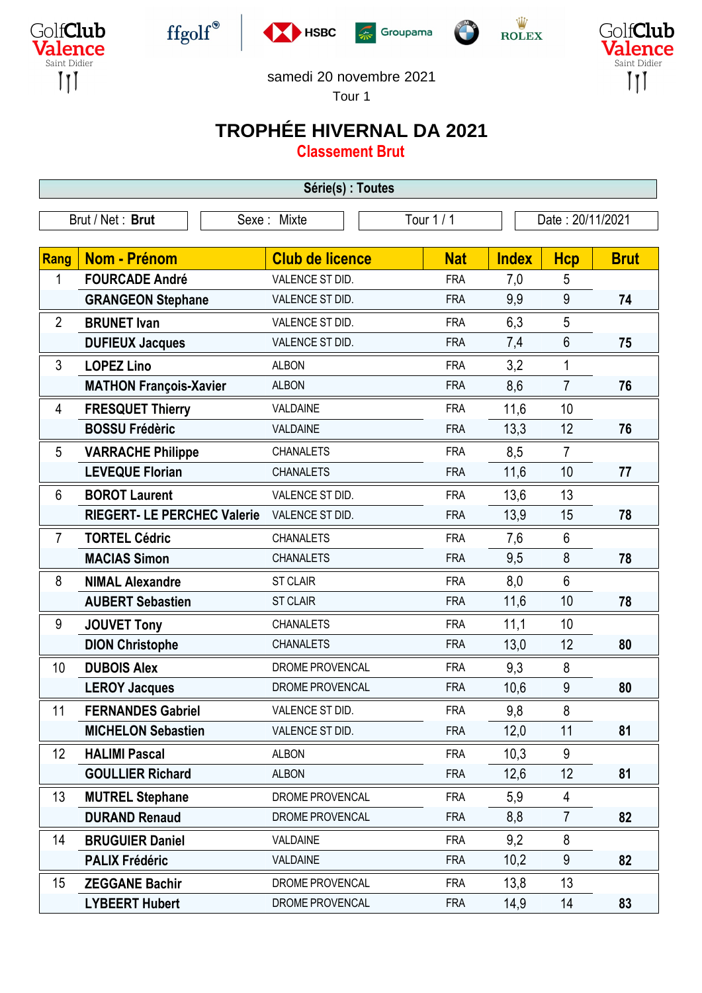











samedi 20 novembre 2021

Tour 1

## **TROPHÉE HIVERNAL DA 2021**

**Classement Brut**

| Série(s) : Toutes |                                    |  |                        |            |            |                  |                |             |  |  |
|-------------------|------------------------------------|--|------------------------|------------|------------|------------------|----------------|-------------|--|--|
|                   | Brut / Net: Brut                   |  | Sexe: Mixte            | Tour 1 / 1 |            | Date: 20/11/2021 |                |             |  |  |
|                   |                                    |  |                        |            |            |                  |                |             |  |  |
| Rang              | Nom - Prénom                       |  | <b>Club de licence</b> |            | <b>Nat</b> | <b>Index</b>     | <b>Hcp</b>     | <b>Brut</b> |  |  |
| 1                 | <b>FOURCADE André</b>              |  | VALENCE ST DID.        |            | <b>FRA</b> | 7,0              | 5              |             |  |  |
|                   | <b>GRANGEON Stephane</b>           |  | VALENCE ST DID.        |            | <b>FRA</b> | 9,9              | 9              | 74          |  |  |
| $\overline{2}$    | <b>BRUNET Ivan</b>                 |  | VALENCE ST DID.        |            | <b>FRA</b> | 6,3              | 5              |             |  |  |
|                   | <b>DUFIEUX Jacques</b>             |  | VALENCE ST DID.        |            | <b>FRA</b> | 7,4              | 6              | 75          |  |  |
| 3                 | <b>LOPEZ Lino</b>                  |  | <b>ALBON</b>           |            | <b>FRA</b> | 3,2              | 1              |             |  |  |
|                   | <b>MATHON François-Xavier</b>      |  | <b>ALBON</b>           |            | <b>FRA</b> | 8,6              | $\overline{7}$ | 76          |  |  |
| 4                 | <b>FRESQUET Thierry</b>            |  | VALDAINE               |            | <b>FRA</b> | 11,6             | 10             |             |  |  |
|                   | <b>BOSSU Frédèric</b>              |  | VALDAINE               |            | <b>FRA</b> | 13,3             | 12             | 76          |  |  |
| 5                 | <b>VARRACHE Philippe</b>           |  | <b>CHANALETS</b>       |            | <b>FRA</b> | 8,5              | $\overline{7}$ |             |  |  |
|                   | <b>LEVEQUE Florian</b>             |  | <b>CHANALETS</b>       |            | <b>FRA</b> | 11,6             | 10             | 77          |  |  |
| 6                 | <b>BOROT Laurent</b>               |  | VALENCE ST DID.        |            | <b>FRA</b> | 13,6             | 13             |             |  |  |
|                   | <b>RIEGERT- LE PERCHEC Valerie</b> |  | VALENCE ST DID.        |            | <b>FRA</b> | 13,9             | 15             | 78          |  |  |
| $\overline{7}$    | <b>TORTEL Cédric</b>               |  | <b>CHANALETS</b>       |            | <b>FRA</b> | 7,6              | $6\phantom{1}$ |             |  |  |
|                   | <b>MACIAS Simon</b>                |  | <b>CHANALETS</b>       |            | <b>FRA</b> | 9,5              | 8              | 78          |  |  |
| 8                 | <b>NIMAL Alexandre</b>             |  | <b>ST CLAIR</b>        |            | <b>FRA</b> | 8,0              | $6\phantom{1}$ |             |  |  |
|                   | <b>AUBERT Sebastien</b>            |  | <b>ST CLAIR</b>        |            | <b>FRA</b> | 11,6             | 10             | 78          |  |  |
| 9                 | <b>JOUVET Tony</b>                 |  | <b>CHANALETS</b>       |            | <b>FRA</b> | 11,1             | 10             |             |  |  |
|                   | <b>DION Christophe</b>             |  | <b>CHANALETS</b>       |            | <b>FRA</b> | 13,0             | 12             | 80          |  |  |
| 10                | <b>DUBOIS Alex</b>                 |  | DROME PROVENCAL        |            | <b>FRA</b> | 9,3              | 8              |             |  |  |
|                   | <b>LEROY Jacques</b>               |  | DROME PROVENCAL        |            | <b>FRA</b> | 10,6             | 9              | 80          |  |  |
| 11                | <b>FERNANDES Gabriel</b>           |  | VALENCE ST DID.        |            | <b>FRA</b> | 9,8              | 8              |             |  |  |
|                   | <b>MICHELON Sebastien</b>          |  | VALENCE ST DID.        |            | <b>FRA</b> | 12,0             | 11             | 81          |  |  |
| 12                | <b>HALIMI Pascal</b>               |  | <b>ALBON</b>           |            | <b>FRA</b> | 10,3             | 9              |             |  |  |
|                   | <b>GOULLIER Richard</b>            |  | <b>ALBON</b>           |            | <b>FRA</b> | 12,6             | 12             | 81          |  |  |
| 13                | <b>MUTREL Stephane</b>             |  | DROME PROVENCAL        |            | <b>FRA</b> | 5,9              | 4              |             |  |  |
|                   | <b>DURAND Renaud</b>               |  | DROME PROVENCAL        |            | <b>FRA</b> | 8,8              | $\overline{7}$ | 82          |  |  |
| 14                | <b>BRUGUIER Daniel</b>             |  | VALDAINE               |            | <b>FRA</b> | 9,2              | 8              |             |  |  |
|                   | <b>PALIX Frédéric</b>              |  | VALDAINE               |            | <b>FRA</b> | 10,2             | 9              | 82          |  |  |
| 15                | <b>ZEGGANE Bachir</b>              |  | DROME PROVENCAL        |            | <b>FRA</b> | 13,8             | 13             |             |  |  |
|                   | <b>LYBEERT Hubert</b>              |  | DROME PROVENCAL        |            | <b>FRA</b> | 14,9             | 14             | 83          |  |  |
|                   |                                    |  |                        |            |            |                  |                |             |  |  |